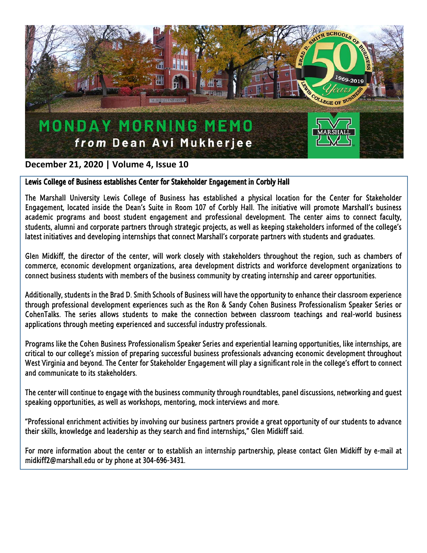

## **December 21, 2020 | Volume 4, Issue 10**

## Lewis College of Business establishes Center for Stakeholder Engagement in Corbly Hall

The Marshall University Lewis College of Business has established a physical location for the Center for Stakeholder Engagement, located inside the Dean's Suite in Room 107 of Corbly Hall. The initiative will promote Marshall's business academic programs and boost student engagement and professional development. The center aims to connect faculty, students, alumni and corporate partners through strategic projects, as well as keeping stakeholders informed of the college's latest initiatives and developing internships that connect Marshall's corporate partners with students and graduates.

Glen Midkiff, the director of the center, will work closely with stakeholders throughout the region, such as chambers of commerce, economic development organizations, area development districts and workforce development organizations to connect business students with members of the business community by creating internship and career opportunities.

Additionally, students in the Brad D. Smith Schools of Business will have the opportunity to enhance their classroom experience through professional development experiences such as the Ron & Sandy Cohen Business Professionalism Speaker Series or CohenTalks. The series allows students to make the connection between classroom teachings and real-world business applications through meeting experienced and successful industry professionals.

Programs like the Cohen Business Professionalism Speaker Series and experiential learning opportunities, like internships, are critical to our college's mission of preparing successful business professionals advancing economic development throughout West Virginia and beyond. The Center for Stakeholder Engagement will play a significant role in the college's effort to connect and communicate to its stakeholders.

The center will continue to engage with the business community through roundtables, panel discussions, networking and guest speaking opportunities, as well as workshops, mentoring, mock interviews and more.

"Professional enrichment activities by involving our business partners provide a great opportunity of our students to advance their skills, knowledge and leadership as they search and find internships," Glen Midkiff said.

For more information about the center or to establish an internship partnership, please contact Glen Midkiff by e-mail at midkiff2@marshall.edu or by phone at 304-696-3431.